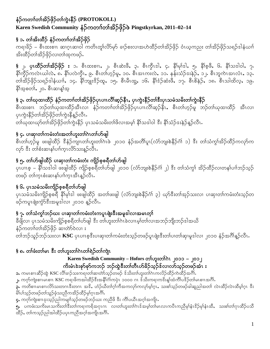## နံဉ်ကတၢၢ်တၢ်အိဉ်ဖှိဉ်တၢ်ကွဲးနိဉ် (PROTOKOLL) Karen Swedish Community နံဉ်ကတၢၢ်တၢ်အိဉ်ဖှိဉ်ဖဲ Pingstkyrkan, 2011-02-14

# § ၁. တၢ်အိးထိဉ် နံဉ်ကတၢၢ်တၢ်အိဉ်ဖိုဉ်

ကရၢခိဉ် – စီၤထးစၢၤ ဆၢဂၤဆၢဝါ ကတိၤတူၢ်လိ>်မု>် ခၢဉ်စးလၢအဟဲထိဉ်တၢ်အိဉ်ဖှိဉ် ဝံၤယ့ကညး တၢ်အိဉ်ဖှိဉ်သရဉ်ဒါနံယၢၢ် အိးထိဉ်တၢ်အိဉ်ဖိုဉ်လ၊တၢ်ထုကဖဉ်.

§ ၂. ပုၤထိံဉ်တၢ်အိဉ်ဖိုဉ်း ၁. စီၤထးစၢၤ, ၂. စီၤဆဲးဖီ, ၃. စီၤကွီၤဒါ, ၄. နိ1်မု1်ဒါ, ၅. နိ1်စ္ဖဖီ, ၆. နိ1်သဒါဝါ, ၇. နိ $\mathfrak{h}$ တိုကလဲၤယါလဲ, ၈. နိ $\mathfrak{f}$ ပလဲကိုၤ, ၉. စီၤတ $\mathfrak{h}$ ဟ္ပဉ်မူ, ၁၀. စီၤအၤကးလဲ, ၁၁. နန်းသံဉ် $\mathfrak{e}$ းနဲှ $\mathfrak{e}$ , ၁၂. စီၤဘူကဲၤအၤလံၤ, ၁၃. တ်အြိဉ်ဖိုဉ်သရဉ်ဒါနံယၢါ, ၁၄. နိ1်ဘျုံး<sup>ဒွ</sup>ဉ်ထူ, ၁၅. စီၤမီၤတ္ဇ္ဟ, ၁၆. နိ1်ဒံ့ဉ်ဆံးဖိ, ၁၇. စီၤမိန်ဉ်, ၁၈. စီၤသါထိလ့, ၁၉. နိ1်အစတ1်, ၂၀. စီၤဆၢန္1်အ္

# § ၃**.** တၢ်ယုထ၊ထိဉ် နံဉ်ကတၢၢ်တၢ်အိဉ်ဖှိဉ်ပှၤပၢၤလိၢ်ဆ့ဉ်နီၤ,ပှၤကွဲးနိဉ်တၢ်ဇီးပှၤသမံသမိးတၢ်ကွဲးနိဉ်

စီၤထးစၢၤ ဘဉ်တၢ်ယုထၢထိဉ်အီၤလၢ နံဉ်ကတၢၢ်တၢ်အိဉ်ဖှိဉ်ပှၤပၢၤလိၢ်ဆ့ဉ်နီၤ,စီၤတၢ်ဟ္ဉ်မူ ဘဉ်တၢ်ယုထၢထိဉ် အီၤလၢ ပုၤကွဲးနီဉ်တၢ်အိဉ်ဖိုဉ်တၢ်ကွဲးနီနူဉ်လီၤ.

တ်ယုထ၊ယုာတ၊်အိဉ်ဖိုဉ်တ၊်ကွဲးနီဉ် ပုၤသမံသမိးတ၊်ဖိလ၊အမှ၊် နိ၊်သဒါဝါ ဒီး နိ၊်သံဉ်ဒးနဲဉ်နဉ်လီၤ.

## § ၄. ပၢဆု၊တၢ်ကမံးတံးအတၢ်ဟူးတၢ်ဂဲၤတၢ်ဟ်ဖျါ

စီၤတၢ်ဟ္၁်မူ ဖးဖျါထိဉ် <sup>ဒွ</sup>နံဉ်ကျၤတၢ်ဟူးတၢ်ဂၤဖဲ ၂၀၁၀ နံဉ်အတိၢ်ပူၤ(လံာ်ဘျးစဲနိဉ်ဂံ၊် ၁) ဒီး တၢ်သံကွၢ်အိဉ်ထိဉ်ကလုာ်က လု<sub>်</sub> <sup>ဒွ</sup>ီး တၢ်စံးဆၢနၢ်ပၢၢ်က္၊ လိ်ာသးန္5်လီၤ

## § ၅. တၢိဟ်ဖျါထိဉ် ပၢဆု၊တၢ်ကမံးတံး ကျိဉ်စုစရိတၢ်ဟ်ဖျါ

ပှၤပၢၤစ့ – နိ1်သဒါဝါ ဖးဖျါထိဉ် ကျိဉ်စ့စရိတၤ်ပာ်ဖျါ ၂၀၁၀ (လံာ်ဘျးစဲနိဉ်ဂံ၊် ၂) ဒီး တၢ်သံကွၤ် အိဉ်ထိဉ်လၢတနၤ်ပၢါဘဉ်သှဉ် တဖဉ် တၢ်က္ၤစံးဆၢနၢ်ပၢၢ်က္ၤအီၤန္ဉာလီၤႉ

## § ၆. ပုၤသမံံသမိးကျိဉ်စုစရိတၢ်ဟ်ဖျါ

ပှၤသမံသမိးကျိဉ်စ့စရီ နိ<sup>ု</sup>မု၊်ဒါ ဖးဖျါထိဉ် အတၢ်ဖးဖျါ (လံာ်ဘျးစဲနိဉ်ဂံ၊် ၃) ယုာ်ဒီးတ၊်အုဉ်သးလၢ ပၢဆု၊တၢ်ကမံးတံးသှဉ်တ ဖဉ်ကပူၤဖျံးကွံာ်ဒီးအမူဒါလ၊ ၂၀၁၀ န္နာ်လီၤႉ

## § ၇. တၢ်သံကွၢ်ဘဉ်ဃး ပၢဆု၊တၢ်ကမံးတံးကပူၤဖျံးဒီးအမှုဒါလၢအမၤတ္၊်

ခ်ီဖျိလ၊ ပှၤသမံသမိးကျိဉ်စ့စရိတၢ်ဟ်ဖျါ ဒီး တၢ်ဟူးတၢ်ဂဲၤခဲလၢၤမ့ၢ်တၢ်လၢအဘဉ်ဘျိးဘဉ်ဒါအယိ နံဉ်ကတၢၢ်တၢ်အိဉ်ဖိုဉ် ဆၢတ်ာ်ဝဲလၢ း ာ<br>တ်ကြည်သူဉ်ဘဉ်သးလၢ **KSC** ပုၤပၢၤစ့ဒီးပၢဆု၊တၢ်ကမံးတံးသ့ဉ်တဖဉ်ပူၤဖျံးဒီးတၢ်ပၢတၢ်ဆု၊မူဒါလ၊ ၂၀၁၀ နံဉ်အဂိၢိန္ဉ်လီၤႉ

## § ၈. တါဖံးတါမၤ ဒီး တါဟူးတါဂဲၤတါရဲဉ်တါကျဲၤ

#### Karen Swedish Community – Hofors တာ်ဟူးတာ်ဂဲၤ ၂၀၁၁ – ၂၀၁၂ ကိုးမံၤဲးစုာ်စုာ်ကဘဉ် ဘဉ်ထွဲဒီးတၢ်တီၤဟ်ခိဉ်သူဉ်ဒ်လၢလာ်သူဉ်တဖဉ်အံၤး

**ာ.** ကမၤစၢၤဆီဉ်ထွဲ KSC လိၢိခၢဉ်သးကရၢတၢ်ဆၢတ်ာသည်တဖဉ် ဒ်သိးတၢ်ဟူးတၢ်ဂဲၤကလိဉ်ထိဉ်ကဲထိဉ်အင်္ဂါ.

၂. ကႁာ်ကျဲးစၢၤမၤစၢၤ KSC ကရၢဖိကအါထိဉ်ဒီးအနိ1်ဂၢဴကပုဲၤ ၁၀၀၀ ဂၤ ဒ်သိးကရၢကဒိးန္1်ထံကိၢိပဒိဉ်တၢ်မၤစၢၤအဂိၢ်

၃. ကတိစၢၤမၤစၢၤလိ>်သးတဂၤဒီးတဂၤ အဒိ, ဟံဉ်ယီတၢ်ဂ္ဂၢ်ကီအကလှာ်ကလှာ်မ့္ပါဂ္၊, သးစၢ်သ္ဉ်တဖဉ်ခါဆူညါအတၢ် လဲၤထိဉ်လဲၤထိမ့္ပါဂ္၊ ဒီး မိ1်ပါသူဉ်တဖဉ်တါသူဉ်ဖုံသးညီကအိဉ်ထိဉ်မှု၊်ဂူၤအဂိါ.

၄• ကက်ကျဲးစၢၤဒုးသုဉ်ညါကမျာ်သုဉ်တဖဉ်ဘဉ်ဃး ကညီဖိ ဒီး ကိၢိပယိၤအဂ္ဂါအကျိၤ $\cdot$ 

.<br>၅• ပကဖံးသကိႏမၤသက်ိဳးတ1်ဒီးတ1်ကရ1ကရိအဂုၤဂၤ လၢတ1်ဟူးတ1်ဂၤဒ်အမ္1တ1်မၤလၤကပိၤကညီမု1်နံၤဒိဉ်မု1်နံၤထိႇ သးစ1်တ1်ဂုၤထိဉ်ပသိ ထိဉ်, တၢ်ကသူဉ်ညါအါထိဉ်ပပုၤကညီအဂ္ဂါအကျိၤအဂိါ.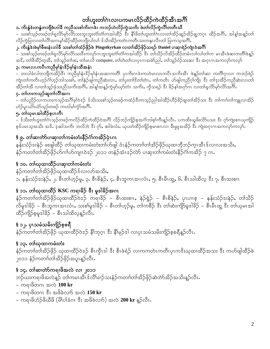# တၢ်ဟူးတၢ်ဂဲၤလၢပကမၤလိဉ်ထိဉ်ကဲထိဉ်အီၤအဂိၢ်

#### ၁. ကိးနွံဒဲးတနွံတဘျိဳဖဲဟါခ်ီ ကညီသးစၢ်ကိုးဂၤဒဲး ကဘဉ်ဟဲလိဉ်ကွဲသကိႏ ဖဲတၢ်လိဉ်ကွဲလိၢ်တတီၤယီ

– သးစါသှဉ်တဖဉ်တါရလိာမှာ်လိာသးဘူးဘူးတံ၊တံ၊ကအါထိဉ် ီး နိ1်ခိတ၊်ဟူးတ၊်ဂဲၤလ၊တ၊်အိဉ်ဆူဉ်အိဉ်ချ့ကဂ္ၤ ထိဉ်အဂိၢ်, အါန့၊်အန္ဉာတ၊် လိဉ်ကွဲပြ၊လ၊တ၊်လိ၊်အဂၤမ့၊်အိဉ်ထိဉ်တဘျီလ၊်လ၊် ဒ်သိးအိဉ်ကတဲၤကတိၤသးကနုၤလီၤတ၊် ပြ၊ကသ့အဂိၢ်

#### ၂. ကိးနွှံဒဲးဖဲမှၢ်ဖီဖးနှံၤဟါခ်ီ သးစၢ်တၢ်ထံဉ်ဖိုဉ်ဖဲ Pingstkyrkan လၢတၢ်အိဉ်ဖိုဉ်သရဉ် Daniel ပၢဆုၢရဲဉ်ကျဲၤဝဲအင်္ဂါ

– သးစါသှဉ်တဖဉ်တၢ်ရလိ>်မှ>်လိ>်သးဒီးကလု>်ဂၤဘူးဘူးတံၢ်တံၢ်ကအါထိဉ် ဒီး တၢ်သိဉ်လိအိဉ်ထိဉ်တမံၤလၢ်လၢ်တၢ်က မၤအီၤဖဲဆၢကတိၢ်ဖဲန့ဉ် အ<sup>8</sup>့, တၢိဖီအိဉ်တဲ့အိႇ တၢဴသူဉ်တၢ်ဖးႇ တၢဴမၤလိ computer, တၢဴတဲတၢဴလၢပုၤဂၤအမဲာ်ညါႇ တၢဴသူဉ်ဝံဉ်သးဆၢ ဒီး အဂုၤဂၤအကလှာ်ကလှာ်

#### ၃. ကမၤလၤကပီၤကညီမှၢ်နံၤ $3$ ဉ်မှၢ်နံၤထီအနံၤ

– တလါခံလါတဘျီကအိဉ်ဒီး ကညီမှၢနံၤဒိဉ်မှၢနံၤအဆၢကတိၢ် ပုၤကိႏဂၤဒဲးကဟဲမၤလၤကပိၤသကိႏအိၤ ဖဲန္နဉ်တၢ်ဆၢ ကတိၢ်ဂ္ၤလ၊ ကဘဉ်ရဲဉ ကျဲ၊တၢ်ကတိၤဟ္မဉ်ဂံၢ်ဟ္မဉ်ဘါသးစၢ်, တၢ်နဲ့ဉ်ဖျါကညီဆဲးလၤ, တၢ်ပူးတၢ်ဒိတၢ်တဲၤ, တၢ်ကတိၤ ဟ်ဖျါကညီဂူ၊်ကျိ၊ ဒီး တၢ်ဒုးအိဉ်ကညီဆဲးလၤတၢ် အိဉ်တၢ်အိ လ၊တ၊်သူဉ်ဖုံသးညီသကိးအဂိၢ်ႇ အါန့၊်အန္ဥ္ပ်က္ခဲမှာမည်တံၤ သကိႏႇ ကိုသရဉ် ဒီး ခိဉ်န၊်အဂုာ်ဂၤ လ၊တ၊်ရူလိာ်မှာ်လိာ်အဂိၢ်ႉ

#### ၄. တါဟးကသုဉ်ဆူတါလိါအဂၤ

– တၢိပညိဉ်လၢကဟးကသုဉ်အဂိၢိမ့ၢ်ဝဲဒဉ် ဒ်သိးသးစၢ်သ့ဉ်တဖဉ်ကထံဉ်ဒီးကသုဉ်ညါအါထိဉ်ဟိဉ်ခိဉ်ချ၊တၢ်အိဉ်သး ဒီး တၢ်ကၢၢ်တ၊်ကျူလ၊အိဉ် ဟံဉ်ပူၤယံဉ်ယံဉ်သူဉ်တဖဉ် ကဟါမၢ်ကံ့ဉ်အင်္ဂါ.

#### ၅. တၢိဃုမၤအါထိဉ်စုပၤကီၤ

– ဒ်သိးတၢ်ဟူးတၢ်ဂဲၤသ္ဉ်တဖဉ်ကလိဉ်ထိဉ်ကဲထိဉ်ဝဲအဂိၢ် လိဉ်ဘဉ်ကျိဉ်စ့အင်္ဂၢဘါစ့ၢ်ကီးန္ဉာ်လီၤႉ ပကထိးယူဖိးလိ>်ပသး ဒီး ဂှာ်ကျဲးစၢၤယုကျိဉ် စုဒ်ပမၤသ္နအသိး အ<sup>ငွ</sup>ႇ ဒုဆါသကိႏ ဘလိဘဲ ဒီး ဂှာ်ႇ ဆါမဲလံးႇ ယုပတံထိဉ်ကျိဉ်စုမၤစၢၤလၢ ခ်ီးမှူအအိဉ် ဒီး ကျဲအဂုၤဂၤအကလှာ်ကလှာ်ႇ

## § ၉. တါဆ၊တဲာ်ပၢဆု၊တါကမံးတံးနိဉ်ဂံ၊်ကအိဉ်ပုံၤဂၤ

နန်းသံဉ် $\circ$ းနဲဉ် ဖးဖျါထိဉ် တ၊်ယုထၢကမံးတံးတ၊်ဟ်ဖျါ ဝံၤနံဉ်ကတၢါတ၊်အိဉ်ဖိုဉ်ယုထၢဘိုဘဉ်က္ၤအီၤ $\hat{\circ}$ လၢလးအသိး $\boldsymbol{.}$ နံဉ်ကတၢါတါအိဉ်ဖိုဉ်ဟ်ဂၢါဟ်ကျ၊ၤ၀ဲဒဉ် ၂၀၁၁ တနံဉ်အံၤဒဉ်လဲာ် ပၢဆု၊တါကမံးတံးနိဉ်ဂံ၊်ကအိဉ် ၇ ဂၤ $\cdot$ 

## § ၁၀. တၢိဃုထၢထိဉ်ပၢဆု၊တၢ်ကမံးတံး

နံဉ်ကတၢၢ်တၢ်အိဉ်ဖိုဉ်ယုထၢထိဉ်ဒ်လၢလာ်အသိး, ာ နန်းသံဉ် $\circ$ းနဲဉ်, ၂. စီၤတၢ်ဟ့ဉ်မူ, ၃. စီၤစိနဲဉ်, ၄. စီၤဘူကၤအၤလံၤ, ၅. စီၤမီၤထွ, ၆. စီၤသါထိလ့ ဒီး ၇. စီၤထးစၢၤ

## § ၁၁. တါယုထ၊ထိဉ် KSC ကရ၊ခိဉ် <sup>နွ</sup>ီး မှုဒါခိဉ်အဂၤ

နံဉ်ကတၢါတါအိဉ်ဖိုဉ်ယုထ၊ထိဉ်ဝဲဒဉ် ကရ၊ခိဉ် – စီၤထးစၢၤ,နဲဉ်ရွဲဉ် – စီၤစိနဲဉ်, ပုၤပၢၤစ့ – နန်းသံဉ်ဒးနဲဉ်, တၢ်သိဉ် လိမှုဒါနိဉ် – စီၤဘူကၤအၤလံၤ, သးစၢ်မှုဒါနိဉ် – စီၤတၢ်ဟ္နာ်မှု, တၢ်ကစီဉ် ဒီး တၢ်ဆဲးကျိဉ်မှုဒါနိဉ် – စီၤမီၤတ္ဗ္က ဒီး တၢ်ယုမၤအါ ထိဉ်ကျိဉ်စ့မူဒါနိဉ် – စီၤသါထိလ့န္5လီၤ.

## § ၁၂. ပုၤသမံသမိးကျိဉ်စ့စရီ

နံဉ်ကတၢါတါအိဉ်ဖှိဉ် ယုထ၊ထိဉ်ဝဲဒဉ် နိၢ်ဘုဂ္ဂၤ ဒီး နိၢ်မှဉ်ဒါ လ၊ပုၤသမံသမိးကျိဉ်စ့စရီနူဉ်လီၤႉ

## § ၁၃. တါဃုထၢကမီးတီး

နံဉ်ကတၢါတါအိဉ်ဖိုဉ် ယုထ၊ထိဉ်ဝဲဒဉ် စီၤကွီၤဒါ ဒီး စီၤဖဲရံဉ် လၢကကတဲၤကတိၤပှၤကဒိးယုထ၊ထိဉ်အသး ဒီး ကဟ်ဖျါထိဉ်ဖဲ ၂၀၁၁ နံဉ်ကတၢါတၢ်အိဉ်ဖိုဉ်အပူၤန္နဉ်လီၤႉ

## § ၁၄. တၢ်ဆၢတ်ာကရၢဖိအလဲ လၢ ၂၀၁၁

ဘဉ်ဃးကရၢဖိအလဲန့ဉ် တၢ်ကမၤအီၤဒ်လိၢိခၢဉ်သးနံဉ်ကတၢၢ်တၢ်အိဉ်ဖိုဉ်ဆဲတဲာ်အိဉ်အသိးန့ဉ်လီၤႉ

#### 

- 
- ကရၢဖိဟံဉ်ဖိယီဖိ (မိၢိပၢ်ခံဂၤ ဒီး အဖိခဲလၢာ်) အလဲ **200 kr** န္**ဉ်လီၤ**.